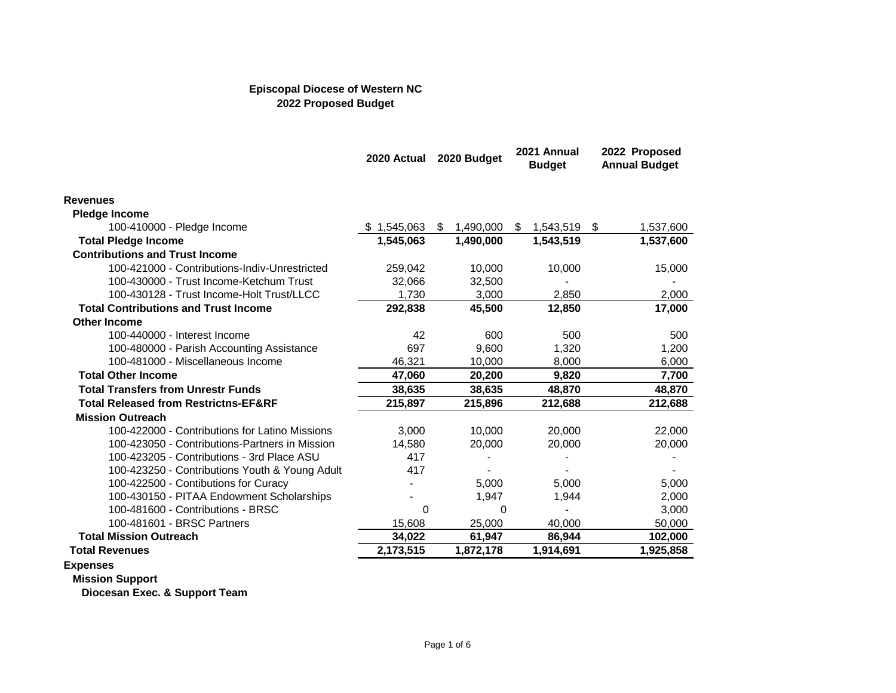|                                                 | 2020 Actual | 2020 Budget     | 2021 Annual<br><b>Budget</b> | 2022 Proposed<br><b>Annual Budget</b> |
|-------------------------------------------------|-------------|-----------------|------------------------------|---------------------------------------|
|                                                 |             |                 |                              |                                       |
| <b>Revenues</b>                                 |             |                 |                              |                                       |
| <b>Pledge Income</b>                            |             |                 |                              |                                       |
| 100-410000 - Pledge Income                      | \$1,545,063 | \$<br>1,490,000 | \$<br>1,543,519              | \$<br>1,537,600                       |
| <b>Total Pledge Income</b>                      | 1,545,063   | 1,490,000       | 1,543,519                    | 1,537,600                             |
| <b>Contributions and Trust Income</b>           |             |                 |                              |                                       |
| 100-421000 - Contributions-Indiv-Unrestricted   | 259,042     | 10,000          | 10,000                       | 15,000                                |
| 100-430000 - Trust Income-Ketchum Trust         | 32,066      | 32,500          |                              |                                       |
| 100-430128 - Trust Income-Holt Trust/LLCC       | 1,730       | 3,000           | 2,850                        | 2,000                                 |
| <b>Total Contributions and Trust Income</b>     | 292,838     | 45,500          | 12,850                       | 17,000                                |
| <b>Other Income</b>                             |             |                 |                              |                                       |
| 100-440000 - Interest Income                    | 42          | 600             | 500                          | 500                                   |
| 100-480000 - Parish Accounting Assistance       | 697         | 9.600           | 1,320                        | 1,200                                 |
| 100-481000 - Miscellaneous Income               | 46.321      | 10.000          | 8.000                        | 6,000                                 |
| <b>Total Other Income</b>                       | 47,060      | 20,200          | 9,820                        | 7,700                                 |
| <b>Total Transfers from Unrestr Funds</b>       | 38,635      | 38,635          | 48,870                       | 48,870                                |
| <b>Total Released from Restrictns-EF&amp;RF</b> | 215,897     | 215,896         | 212,688                      | 212,688                               |
| <b>Mission Outreach</b>                         |             |                 |                              |                                       |
| 100-422000 - Contributions for Latino Missions  | 3,000       | 10,000          | 20,000                       | 22,000                                |
| 100-423050 - Contributions-Partners in Mission  | 14,580      | 20,000          | 20,000                       | 20,000                                |
| 100-423205 - Contributions - 3rd Place ASU      | 417         |                 |                              |                                       |
| 100-423250 - Contributions Youth & Young Adult  | 417         |                 |                              |                                       |
| 100-422500 - Contibutions for Curacy            |             | 5,000           | 5,000                        | 5,000                                 |
| 100-430150 - PITAA Endowment Scholarships       |             | 1,947           | 1,944                        | 2,000                                 |
| 100-481600 - Contributions - BRSC               | 0           | 0               |                              | 3,000                                 |
| 100-481601 - BRSC Partners                      | 15,608      | 25,000          | 40,000                       | 50,000                                |
| <b>Total Mission Outreach</b>                   | 34,022      | 61,947          | 86,944                       | 102,000                               |
| <b>Total Revenues</b>                           | 2,173,515   | 1,872,178       | 1,914,691                    | 1,925,858                             |

## **Expenses**

 **Mission Support**

 **Diocesan Exec. & Support Team**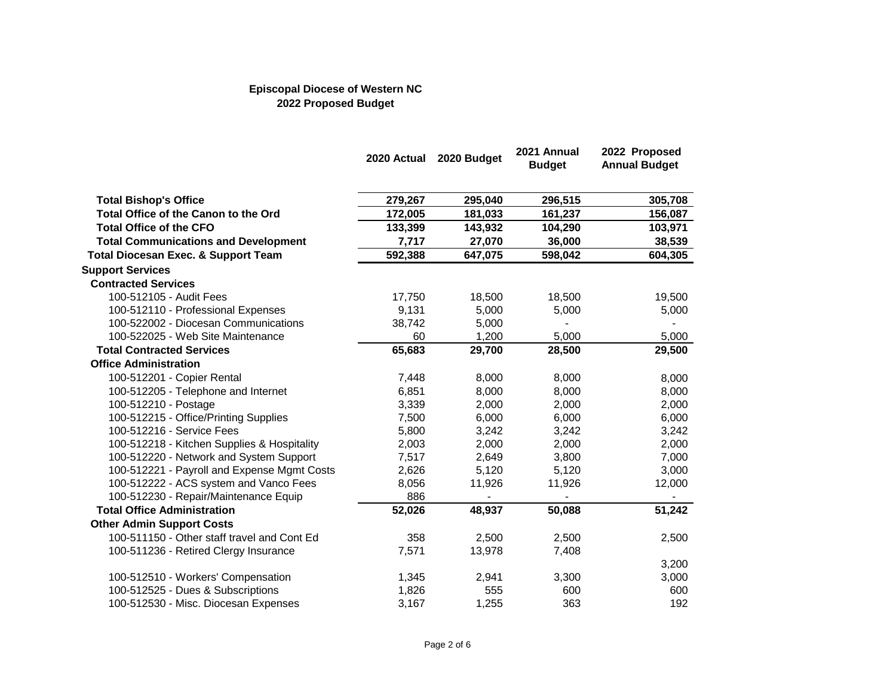|                                                | 2020 Actual | 2020 Budget | 2021 Annual<br><b>Budget</b> | 2022 Proposed<br><b>Annual Budget</b> |
|------------------------------------------------|-------------|-------------|------------------------------|---------------------------------------|
| <b>Total Bishop's Office</b>                   | 279,267     | 295,040     | 296,515                      | 305,708                               |
| Total Office of the Canon to the Ord           | 172,005     | 181,033     | 161,237                      | 156,087                               |
| <b>Total Office of the CFO</b>                 | 133,399     | 143,932     | 104,290                      | 103,971                               |
| <b>Total Communications and Development</b>    | 7,717       | 27,070      | 36,000                       | 38,539                                |
| <b>Total Diocesan Exec. &amp; Support Team</b> | 592,388     | 647,075     | 598,042                      | 604,305                               |
| <b>Support Services</b>                        |             |             |                              |                                       |
| <b>Contracted Services</b>                     |             |             |                              |                                       |
| 100-512105 - Audit Fees                        | 17,750      | 18,500      | 18,500                       | 19,500                                |
| 100-512110 - Professional Expenses             | 9,131       | 5,000       | 5,000                        | 5,000                                 |
| 100-522002 - Diocesan Communications           | 38,742      | 5,000       | $\blacksquare$               |                                       |
| 100-522025 - Web Site Maintenance              | 60          | 1,200       | 5,000                        | 5,000                                 |
| <b>Total Contracted Services</b>               | 65,683      | 29,700      | 28,500                       | 29,500                                |
| <b>Office Administration</b>                   |             |             |                              |                                       |
| 100-512201 - Copier Rental                     | 7,448       | 8,000       | 8,000                        | 8,000                                 |
| 100-512205 - Telephone and Internet            | 6,851       | 8,000       | 8,000                        | 8,000                                 |
| 100-512210 - Postage                           | 3,339       | 2,000       | 2,000                        | 2,000                                 |
| 100-512215 - Office/Printing Supplies          | 7,500       | 6,000       | 6,000                        | 6,000                                 |
| 100-512216 - Service Fees                      | 5,800       | 3,242       | 3,242                        | 3,242                                 |
| 100-512218 - Kitchen Supplies & Hospitality    | 2,003       | 2,000       | 2,000                        | 2,000                                 |
| 100-512220 - Network and System Support        | 7,517       | 2,649       | 3,800                        | 7,000                                 |
| 100-512221 - Payroll and Expense Mgmt Costs    | 2,626       | 5,120       | 5,120                        | 3,000                                 |
| 100-512222 - ACS system and Vanco Fees         | 8,056       | 11,926      | 11,926                       | 12,000                                |
| 100-512230 - Repair/Maintenance Equip          | 886         |             |                              |                                       |
| <b>Total Office Administration</b>             | 52,026      | 48,937      | 50,088                       | 51,242                                |
| <b>Other Admin Support Costs</b>               |             |             |                              |                                       |
| 100-511150 - Other staff travel and Cont Ed    | 358         | 2,500       | 2,500                        | 2,500                                 |
| 100-511236 - Retired Clergy Insurance          | 7,571       | 13,978      | 7,408                        |                                       |
|                                                |             |             |                              | 3,200                                 |
| 100-512510 - Workers' Compensation             | 1,345       | 2,941       | 3,300                        | 3,000                                 |
| 100-512525 - Dues & Subscriptions              | 1,826       | 555         | 600                          | 600                                   |
| 100-512530 - Misc. Diocesan Expenses           | 3,167       | 1,255       | 363                          | 192                                   |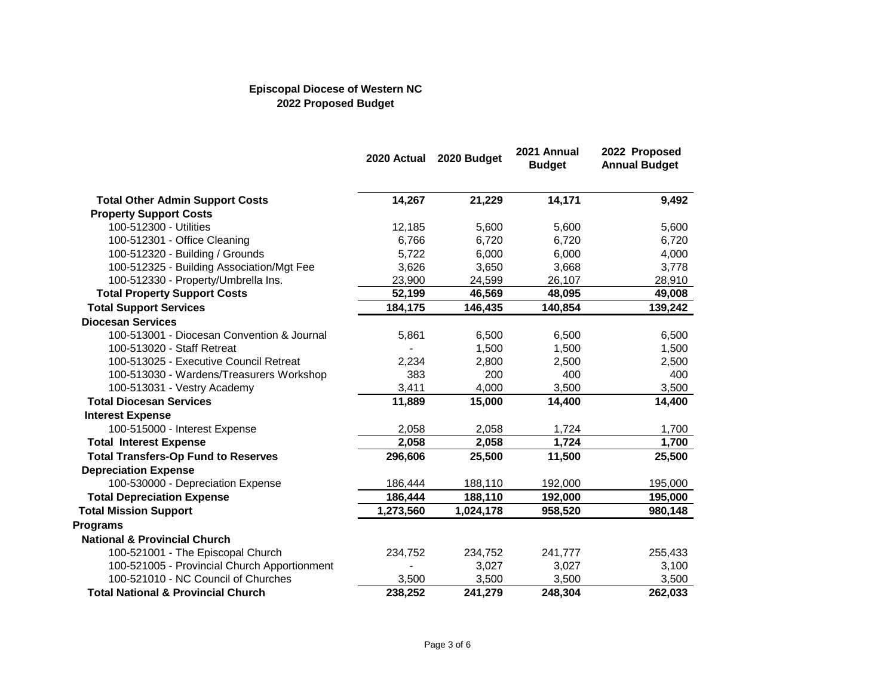|                                               | 2020 Actual | 2020 Budget | 2021 Annual<br><b>Budget</b> | 2022 Proposed<br><b>Annual Budget</b> |
|-----------------------------------------------|-------------|-------------|------------------------------|---------------------------------------|
| <b>Total Other Admin Support Costs</b>        | 14,267      | 21,229      | 14,171                       | 9,492                                 |
| <b>Property Support Costs</b>                 |             |             |                              |                                       |
| 100-512300 - Utilities                        | 12,185      | 5,600       | 5,600                        | 5,600                                 |
| 100-512301 - Office Cleaning                  | 6,766       | 6,720       | 6,720                        | 6,720                                 |
| 100-512320 - Building / Grounds               | 5,722       | 6,000       | 6,000                        | 4,000                                 |
| 100-512325 - Building Association/Mgt Fee     | 3,626       | 3,650       | 3,668                        | 3,778                                 |
| 100-512330 - Property/Umbrella Ins.           | 23,900      | 24,599      | 26,107                       | 28,910                                |
| <b>Total Property Support Costs</b>           | 52,199      | 46,569      | 48,095                       | 49,008                                |
| <b>Total Support Services</b>                 | 184,175     | 146,435     | 140,854                      | 139,242                               |
| <b>Diocesan Services</b>                      |             |             |                              |                                       |
| 100-513001 - Diocesan Convention & Journal    | 5,861       | 6,500       | 6,500                        | 6,500                                 |
| 100-513020 - Staff Retreat                    |             | 1,500       | 1,500                        | 1,500                                 |
| 100-513025 - Executive Council Retreat        | 2,234       | 2,800       | 2,500                        | 2,500                                 |
| 100-513030 - Wardens/Treasurers Workshop      | 383         | 200         | 400                          | 400                                   |
| 100-513031 - Vestry Academy                   | 3,411       | 4,000       | 3,500                        | 3,500                                 |
| <b>Total Diocesan Services</b>                | 11,889      | 15,000      | 14,400                       | 14,400                                |
| <b>Interest Expense</b>                       |             |             |                              |                                       |
| 100-515000 - Interest Expense                 | 2,058       | 2,058       | 1,724                        | 1,700                                 |
| <b>Total Interest Expense</b>                 | 2,058       | 2,058       | 1,724                        | 1,700                                 |
| <b>Total Transfers-Op Fund to Reserves</b>    | 296,606     | 25,500      | 11,500                       | 25,500                                |
| <b>Depreciation Expense</b>                   |             |             |                              |                                       |
| 100-530000 - Depreciation Expense             | 186,444     | 188,110     | 192,000                      | 195,000                               |
| <b>Total Depreciation Expense</b>             | 186,444     | 188,110     | 192,000                      | 195,000                               |
| <b>Total Mission Support</b>                  | 1,273,560   | 1,024,178   | 958,520                      | 980,148                               |
| <b>Programs</b>                               |             |             |                              |                                       |
| <b>National &amp; Provincial Church</b>       |             |             |                              |                                       |
| 100-521001 - The Episcopal Church             | 234,752     | 234,752     | 241,777                      | 255,433                               |
| 100-521005 - Provincial Church Apportionment  |             | 3,027       | 3,027                        | 3,100                                 |
| 100-521010 - NC Council of Churches           | 3,500       | 3,500       | 3,500                        | 3,500                                 |
| <b>Total National &amp; Provincial Church</b> | 238,252     | 241,279     | 248,304                      | 262,033                               |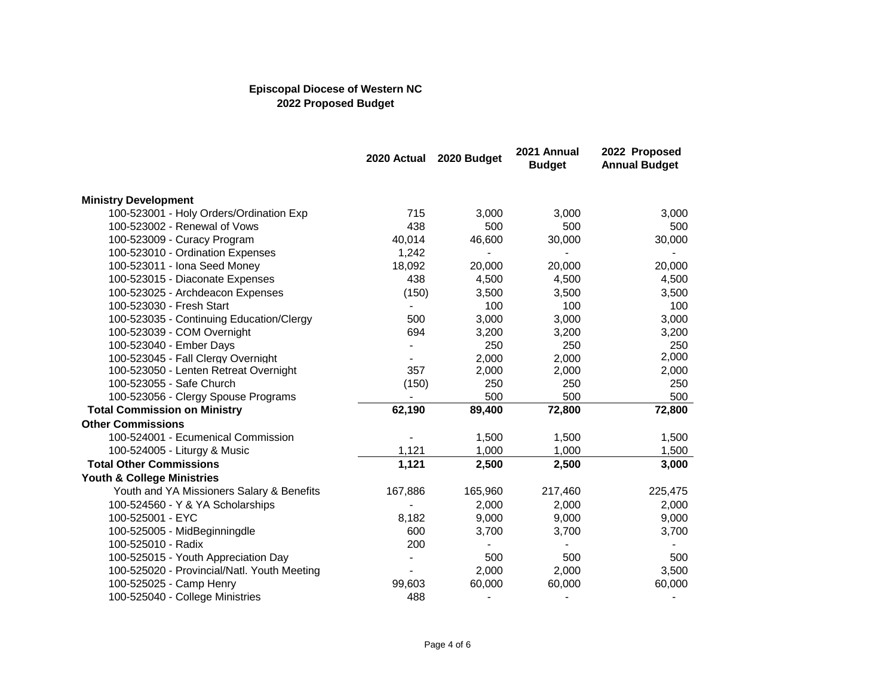|                                             | 2020 Actual | 2020 Budget | 2021 Annual<br><b>Budget</b> | 2022 Proposed<br><b>Annual Budget</b> |
|---------------------------------------------|-------------|-------------|------------------------------|---------------------------------------|
| <b>Ministry Development</b>                 |             |             |                              |                                       |
| 100-523001 - Holy Orders/Ordination Exp     | 715         | 3,000       | 3,000                        | 3,000                                 |
| 100-523002 - Renewal of Vows                | 438         | 500         | 500                          | 500                                   |
| 100-523009 - Curacy Program                 | 40,014      | 46,600      | 30,000                       | 30,000                                |
| 100-523010 - Ordination Expenses            | 1,242       |             |                              |                                       |
| 100-523011 - Iona Seed Money                | 18,092      | 20,000      | 20,000                       | 20,000                                |
| 100-523015 - Diaconate Expenses             | 438         | 4,500       | 4,500                        | 4,500                                 |
| 100-523025 - Archdeacon Expenses            | (150)       | 3,500       | 3,500                        | 3,500                                 |
| 100-523030 - Fresh Start                    |             | 100         | 100                          | 100                                   |
| 100-523035 - Continuing Education/Clergy    | 500         | 3,000       | 3,000                        | 3,000                                 |
| 100-523039 - COM Overnight                  | 694         | 3,200       | 3,200                        | 3,200                                 |
| 100-523040 - Ember Days                     |             | 250         | 250                          | 250                                   |
| 100-523045 - Fall Clergy Overnight          |             | 2,000       | 2,000                        | 2,000                                 |
| 100-523050 - Lenten Retreat Overnight       | 357         | 2,000       | 2,000                        | 2,000                                 |
| 100-523055 - Safe Church                    | (150)       | 250         | 250                          | 250                                   |
| 100-523056 - Clergy Spouse Programs         |             | 500         | 500                          | 500                                   |
| <b>Total Commission on Ministry</b>         | 62,190      | 89,400      | 72,800                       | 72,800                                |
| <b>Other Commissions</b>                    |             |             |                              |                                       |
| 100-524001 - Ecumenical Commission          |             | 1,500       | 1,500                        | 1,500                                 |
| 100-524005 - Liturgy & Music                | 1,121       | 1,000       | 1,000                        | 1,500                                 |
| <b>Total Other Commissions</b>              | 1,121       | 2,500       | 2,500                        | 3,000                                 |
| <b>Youth &amp; College Ministries</b>       |             |             |                              |                                       |
| Youth and YA Missioners Salary & Benefits   | 167,886     | 165,960     | 217,460                      | 225,475                               |
| 100-524560 - Y & YA Scholarships            |             | 2,000       | 2,000                        | 2,000                                 |
| 100-525001 - EYC                            | 8,182       | 9,000       | 9,000                        | 9,000                                 |
| 100-525005 - MidBeginningdle                | 600         | 3,700       | 3,700                        | 3,700                                 |
| 100-525010 - Radix                          | 200         |             |                              |                                       |
| 100-525015 - Youth Appreciation Day         |             | 500         | 500                          | 500                                   |
| 100-525020 - Provincial/Natl. Youth Meeting |             | 2,000       | 2,000                        | 3,500                                 |
| 100-525025 - Camp Henry                     | 99,603      | 60,000      | 60,000                       | 60,000                                |
| 100-525040 - College Ministries             | 488         |             | $\overline{a}$               |                                       |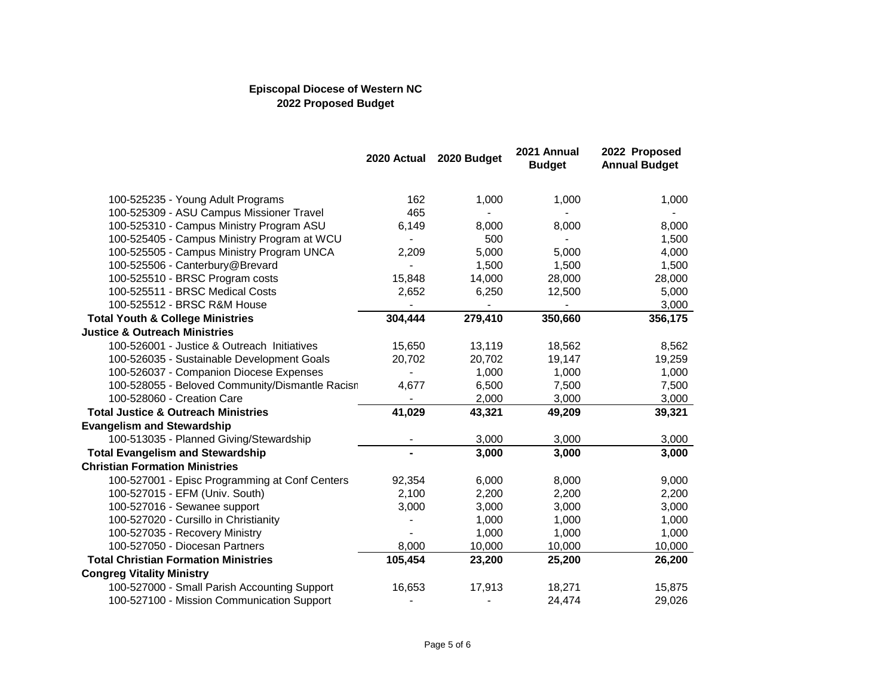|                                                 | 2020 Actual | 2020 Budget | 2021 Annual<br><b>Budget</b> | 2022 Proposed<br><b>Annual Budget</b> |
|-------------------------------------------------|-------------|-------------|------------------------------|---------------------------------------|
| 100-525235 - Young Adult Programs               | 162         | 1,000       | 1,000                        | 1,000                                 |
| 100-525309 - ASU Campus Missioner Travel        | 465         |             |                              |                                       |
| 100-525310 - Campus Ministry Program ASU        | 6,149       | 8,000       | 8,000                        | 8,000                                 |
| 100-525405 - Campus Ministry Program at WCU     |             | 500         |                              | 1,500                                 |
| 100-525505 - Campus Ministry Program UNCA       | 2,209       | 5,000       | 5,000                        | 4,000                                 |
| 100-525506 - Canterbury@Brevard                 |             | 1,500       | 1,500                        | 1,500                                 |
| 100-525510 - BRSC Program costs                 | 15,848      | 14,000      | 28,000                       | 28,000                                |
| 100-525511 - BRSC Medical Costs                 | 2,652       | 6,250       | 12,500                       | 5,000                                 |
| 100-525512 - BRSC R&M House                     |             |             |                              | 3,000                                 |
| <b>Total Youth &amp; College Ministries</b>     | 304,444     | 279,410     | 350,660                      | 356,175                               |
| <b>Justice &amp; Outreach Ministries</b>        |             |             |                              |                                       |
| 100-526001 - Justice & Outreach Initiatives     | 15,650      | 13,119      | 18,562                       | 8,562                                 |
| 100-526035 - Sustainable Development Goals      | 20,702      | 20,702      | 19,147                       | 19,259                                |
| 100-526037 - Companion Diocese Expenses         |             | 1,000       | 1,000                        | 1,000                                 |
| 100-528055 - Beloved Community/Dismantle Racisn | 4,677       | 6,500       | 7,500                        | 7,500                                 |
| 100-528060 - Creation Care                      |             | 2,000       | 3,000                        | 3,000                                 |
| <b>Total Justice &amp; Outreach Ministries</b>  | 41,029      | 43,321      | 49,209                       | 39,321                                |
| <b>Evangelism and Stewardship</b>               |             |             |                              |                                       |
| 100-513035 - Planned Giving/Stewardship         |             | 3,000       | 3,000                        | 3,000                                 |
| <b>Total Evangelism and Stewardship</b>         |             | 3,000       | 3,000                        | 3,000                                 |
| <b>Christian Formation Ministries</b>           |             |             |                              |                                       |
| 100-527001 - Episc Programming at Conf Centers  | 92,354      | 6,000       | 8,000                        | 9,000                                 |
| 100-527015 - EFM (Univ. South)                  | 2,100       | 2,200       | 2,200                        | 2,200                                 |
| 100-527016 - Sewanee support                    | 3,000       | 3,000       | 3,000                        | 3,000                                 |
| 100-527020 - Cursillo in Christianity           |             | 1,000       | 1,000                        | 1,000                                 |
| 100-527035 - Recovery Ministry                  |             | 1,000       | 1,000                        | 1,000                                 |
| 100-527050 - Diocesan Partners                  | 8,000       | 10,000      | 10,000                       | 10,000                                |
| <b>Total Christian Formation Ministries</b>     | 105,454     | 23,200      | 25,200                       | 26,200                                |
| <b>Congreg Vitality Ministry</b>                |             |             |                              |                                       |
| 100-527000 - Small Parish Accounting Support    | 16,653      | 17,913      | 18,271                       | 15,875                                |
| 100-527100 - Mission Communication Support      |             |             | 24,474                       | 29,026                                |